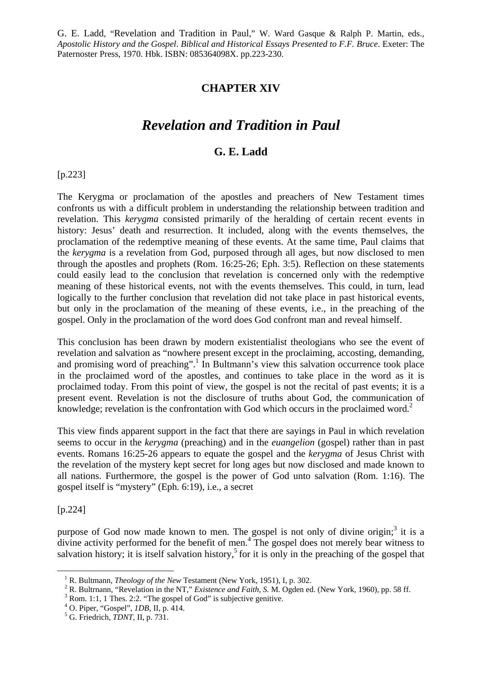## **CHAPTER XIV**

# *Revelation and Tradition in Paul*

## **G. E. Ladd**

[p.223]

The Kerygma or proclamation of the apostles and preachers of New Testament times confronts us with a difficult problem in understanding the relationship between tradition and revelation. This *kerygma* consisted primarily of the heralding of certain recent events in history: Jesus' death and resurrection. It included, along with the events themselves, the proclamation of the redemptive meaning of these events. At the same time, Paul claims that the *kerygma* is a revelation from God, purposed through all ages, but now disclosed to men through the apostles and prophets (Rom. 16:25-26; Eph. 3:5). Reflection on these statements could easily lead to the conclusion that revelation is concerned only with the redemptive meaning of these historical events, not with the events themselves. This could, in turn, lead logically to the further conclusion that revelation did not take place in past historical events, but only in the proclamation of the meaning of these events, i.e., in the preaching of the gospel. Only in the proclamation of the word does God confront man and reveal himself.

This conclusion has been drawn by modern existentialist theologians who see the event of revelation and salvation as "nowhere present except in the proclaiming, accosting, demanding, and promising word of preaching".<sup>1</sup> In Bultmann's view this salvation occurrence took place in the proclaimed word of the apostles, and continues to take place in the word as it is proclaimed today. From this point of view, the gospel is not the recital of past events; it is a present event. Revelation is not the disclosure of truths about God, the communication of knowledge; revelation is the confrontation with God which occurs in the proclaimed word.<sup>2</sup>

This view finds apparent support in the fact that there are sayings in Paul in which revelation seems to occur in the *kerygma* (preaching) and in the *euangelion* (gospel) rather than in past events. Romans 16:25-26 appears to equate the gospel and the *kerygma* of Jesus Christ with the revelation of the mystery kept secret for long ages but now disclosed and made known to all nations. Furthermore, the gospel is the power of God unto salvation (Rom. 1:16). The gospel itself is "mystery" (Eph. 6:19), i.e., a secret

[p.224]

purpose of God now made known to men. The gospel is not only of divine origin;<sup>3</sup> it is a divine activity performed for the benefit of men.<sup>4</sup> The gospel does not merely bear witness to salvation history; it is itself salvation history,<sup>5</sup> for it is only in the preaching of the gospel that

 $\frac{1}{1}$ <sup>1</sup> R. Bultmann, *Theology of the New* Testament (New York, 1951), I, p. 302.<br><sup>2</sup> B. Bultmann, "Bouglation in the NT". *Existence and Eaith*, S. M. Orden as

<sup>&</sup>lt;sup>2</sup> R. Bultrnann, "Revelation in the NT," *Existence and Faith*, *S. M. Ogden ed. (New York, 1960), pp. 58 ff.* 

<sup>&</sup>lt;sup>3</sup> Rom. 1:1, 1 Thes. 2:2. "The gospel of God" is subjective genitive.

<sup>&</sup>lt;sup>4</sup> O. Piper, "Gospel", *IDB*, II, p. 414.

G. Friedrich, *TDNT,* II, p. 731.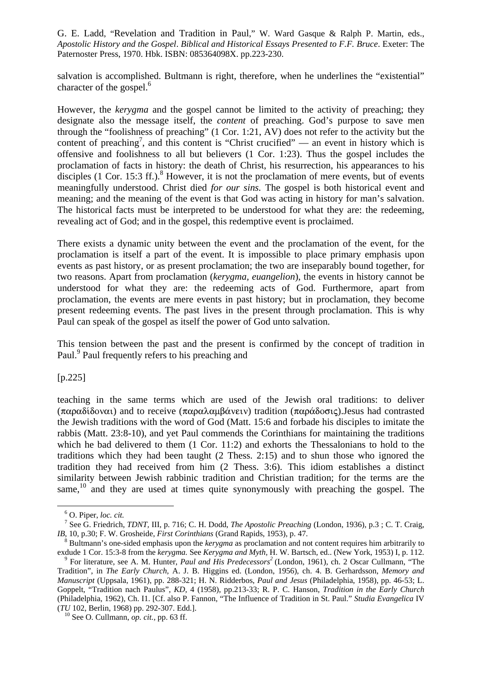salvation is accomplished. Bultmann is right, therefore, when he underlines the "existential" character of the gospel. $<sup>6</sup>$ </sup>

However, the *kerygma* and the gospel cannot be limited to the activity of preaching; they designate also the message itself, the *content* of preaching. God's purpose to save men through the "foolishness of preaching" (1 Cor. 1:21, AV) does not refer to the activity but the content of preaching<sup>7</sup>, and this content is "Christ crucified" — an event in history which is offensive and foolishness to all but believers (1 Cor. 1:23). Thus the gospel includes the proclamation of facts in history: the death of Christ, his resurrection, his appearances to his disciples (1 Cor. 15:3 ff.).<sup>8</sup> However, it is not the proclamation of mere events, but of events meaningfully understood. Christ died *for our sins.* The gospel is both historical event and meaning; and the meaning of the event is that God was acting in history for man's salvation. The historical facts must be interpreted to be understood for what they are: the redeeming, revealing act of God; and in the gospel, this redemptive event is proclaimed.

There exists a dynamic unity between the event and the proclamation of the event, for the proclamation is itself a part of the event. It is impossible to place primary emphasis upon events as past history, or as present proclamation; the two are inseparably bound together, for two reasons. Apart from proclamation (*kerygma, euangelion*), the events in history cannot be understood for what they are: the redeeming acts of God. Furthermore, apart from proclamation, the events are mere events in past history; but in proclamation, they become present redeeming events. The past lives in the present through proclamation. This is why Paul can speak of the gospel as itself the power of God unto salvation.

This tension between the past and the present is confirmed by the concept of tradition in Paul.<sup>9</sup> Paul frequently refers to his preaching and

[p.225]

teaching in the same terms which are used of the Jewish oral traditions: to deliver ( $\pi \alpha \rho \alpha \delta$ ίδοναι) and to receive ( $\pi \alpha \rho \alpha \lambda \alpha \mu \beta \dot{\alpha}$ νειν) tradition ( $\pi \alpha \rho \dot{\alpha} \delta$ οσις).Jesus had contrasted the Jewish traditions with the word of God (Matt. 15:6 and forbade his disciples to imitate the rabbis (Matt. 23:8-10), and yet Paul commends the Corinthians for maintaining the traditions which he bad delivered to them (1 Cor. 11:2) and exhorts the Thessalonians to hold to the traditions which they had been taught (2 Thess. 2:15) and to shun those who ignored the tradition they had received from him (2 Thess. 3:6). This idiom establishes a distinct similarity between Jewish rabbinic tradition and Christian tradition; for the terms are the same, $^{10}$  and they are used at times quite synonymously with preaching the gospel. The

 $\overline{6}$ <sup>6</sup> O. Piper, *loc. cit.*<br><sup>7</sup> See G. Friedrich

See G. Friedrich, *TDNT,* III, p. 716; C. H. Dodd, *The Apostolic Preaching* (London, 1936), p.3 ; C. T. Craig, *IB, 10, p.30; F. W. Grosheide, First Corinthians (Grand Rapids, 1953), p. 47.* 

Bultmann's one-sided emphasis upon the *kerygma* as proclamation and not content requires him arbitrarily to exdude 1 Cor. 15:3-8 from the *kerygma.* See *Kerygma and Myth,* H. W. Bartsch, ed.. (New York, 1953) I, p. 112. <sup>9</sup>

<sup>&</sup>lt;sup>9</sup> For literature, see A. M. Hunter, *Paul and His Predecessors<sup>2</sup>* (London, 1961), ch. 2 Oscar Cullmann, "The Tradition", in *The Early Church,* A. J. B. Higgins ed. (London, 1956), ch. 4. B. Gerhardsson, *Memory and Manuscript* (Uppsala, 1961), pp. 288-321; H. N. Ridderbos, *Paul and Jesus* (Philadelphia, 1958), pp. 46-53; L. Goppelt, "Tradition nach Paulus", *KD,* 4 (1958), pp.213-33; R. P. C. Hanson, *Tradition in the Early Church* (Philadelphia, 1962), Ch. I1. [Cf. also P. Fannon, "The Influence of Tradition in St. Paul." *Studia Evangelica* IV (*TU* 102, Berlin, 1968) pp. 292-307. Edd.]. 10 See O. Cullmann, *op. cit.,* pp. 63 ff.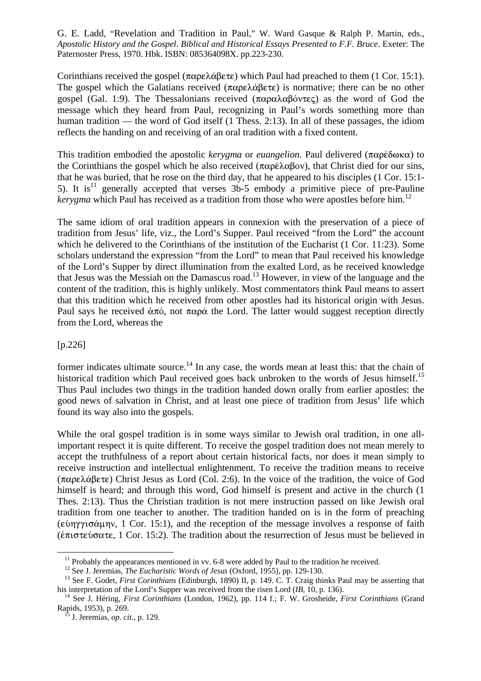Corinthians received the gospel  $(\pi \alpha \rho \epsilon \lambda \alpha \beta \epsilon \tau \epsilon)$  which Paul had preached to them (1 Cor. 15:1). The gospel which the Galatians received  $(\pi \alpha \rho \epsilon \lambda \alpha \beta \epsilon \tau \epsilon)$  is normative; there can be no other gospel (Gal. 1:9). The Thessalonians received ( $\pi \alpha \rho \alpha \lambda \alpha \beta \delta \nu \tau \epsilon \zeta$ ) as the word of God the message which they heard from Paul, recognizing in Paul's words something more than human tradition — the word of God itself (1 Thess. 2:13). In all of these passages, the idiom reflects the handing on and receiving of an oral tradition with a fixed content.

This tradition embodied the apostolic *kerygma* or *euangelion*. Paul delivered ( $\pi \alpha \beta \delta \omega \kappa \alpha$ ) to the Corinthians the gospel which he also received  $(\pi \alpha \beta \delta \alpha \beta ov)$ , that Christ died for our sins, that he was buried, that he rose on the third day, that he appeared to his disciples (1 Cor. 15:1- 5). It is<sup>11</sup> generally accepted that verses  $3b-5$  embody a primitive piece of pre-Pauline *kerygma* which Paul has received as a tradition from those who were apostles before him.<sup>12</sup>

The same idiom of oral tradition appears in connexion with the preservation of a piece of tradition from Jesus' life, viz., the Lord's Supper. Paul received "from the Lord" the account which he delivered to the Corinthians of the institution of the Eucharist (1 Cor. 11:23). Some scholars understand the expression "from the Lord" to mean that Paul received his knowledge of the Lord's Supper by direct illumination from the exalted Lord, as he received knowledge that Jesus was the Messiah on the Damascus road.13 However, in view of the language and the content of the tradition, this is highly unlikely. Most commentators think Paul means to assert that this tradition which he received from other apostles had its historical origin with Jesus. Paul says he received  $\dot{\alpha}\pi\dot{\alpha}$ , not  $\pi\alpha\rho\dot{\alpha}$  the Lord. The latter would suggest reception directly from the Lord, whereas the

[p.226]

former indicates ultimate source.<sup>14</sup> In any case, the words mean at least this: that the chain of historical tradition which Paul received goes back unbroken to the words of Jesus himself.<sup>15</sup> Thus Paul includes two things in the tradition handed down orally from earlier apostles: the good news of salvation in Christ, and at least one piece of tradition from Jesus' life which found its way also into the gospels.

While the oral gospel tradition is in some ways similar to Jewish oral tradition, in one allimportant respect it is quite different. To receive the gospel tradition does not mean merely to accept the truthfulness of a report about certain historical facts, nor does it mean simply to receive instruction and intellectual enlightenment. To receive the tradition means to receive (παρελάβετε) Christ Jesus as Lord (Col. 2:6). In the voice of the tradition, the voice of God himself is heard; and through this word, God himself is present and active in the church (1 Thes. 2:13). Thus the Christian tradition is not mere instruction passed on like Jewish oral tradition from one teacher to another. The tradition handed on is in the form of preaching  $(\epsilon \nu \nu \nu \sigma \alpha \nu)$ , 1 Cor. 15:1), and the reception of the message involves a response of faith ( $\epsilon$  $\pi$ i $\sigma$ τεύσατε, 1 Cor. 15:2). The tradition about the resurrection of Jesus must be believed in

<sup>&</sup>lt;sup>11</sup> Probably the appearances mentioned in vv. 6-8 were added by Paul to the tradition he received.<br><sup>12</sup> See J. Jeremias, *The Eucharistic Words of Jesus* (Oxford, 1955), pp. 129-130.<br><sup>13</sup> See F. Godet, *First Corinthians* 

his interpretation of the Lord's Supper was received from the risen Lord (*IB, 10, p. 136)*.<br><sup>14</sup> See J. Héring, *First Corinthians* (London, 1962), pp. 114 f.; F. W. Grosheide, *First Corinthians* (Grand Rapids, 1953), p. 269. 15 J. Jeremias, *op. cit.,* p. 129.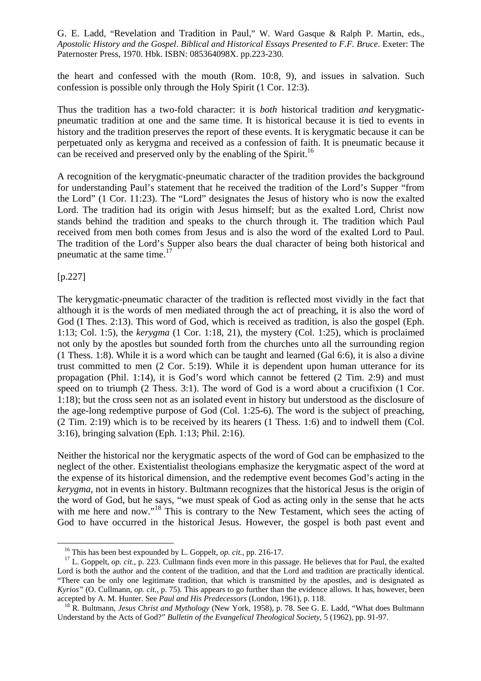the heart and confessed with the mouth (Rom. 10:8, 9), and issues in salvation. Such confession is possible only through the Holy Spirit (1 Cor. 12:3).

Thus the tradition has a two-fold character: it is *both* historical tradition *and* kerygmaticpneumatic tradition at one and the same time. It is historical because it is tied to events in history and the tradition preserves the report of these events. It is kerygmatic because it can be perpetuated only as kerygma and received as a confession of faith. It is pneumatic because it can be received and preserved only by the enabling of the Spirit.<sup>16</sup>

A recognition of the kerygmatic-pneumatic character of the tradition provides the background for understanding Paul's statement that he received the tradition of the Lord's Supper "from the Lord" (1 Cor. 11:23). The "Lord" designates the Jesus of history who is now the exalted Lord. The tradition had its origin with Jesus himself; but as the exalted Lord, Christ now stands behind the tradition and speaks to the church through it. The tradition which Paul received from men both comes from Jesus and is also the word of the exalted Lord to Paul. The tradition of the Lord's Supper also bears the dual character of being both historical and pneumatic at the same time.<sup>17</sup>

### [p.227]

The kerygmatic-pneumatic character of the tradition is reflected most vividly in the fact that although it is the words of men mediated through the act of preaching, it is also the word of God (I Thes. 2:13). This word of God, which is received as tradition, is also the gospel (Eph. 1:13; Col. 1:5), the *kerygma* (1 Cor. 1:18, 21), the mystery (Col. 1:25), which is proclaimed not only by the apostles but sounded forth from the churches unto all the surrounding region (1 Thess. 1:8). While it is a word which can be taught and learned (Gal 6:6), it is also a divine trust committed to men (2 Cor. 5:19). While it is dependent upon human utterance for its propagation (Phil. 1:14), it is God's word which cannot be fettered (2 Tim. 2:9) and must speed on to triumph (2 Thess. 3:1). The word of God is a word about a crucifixion (1 Cor. 1:18); but the cross seen not as an isolated event in history but understood as the disclosure of the age-long redemptive purpose of God (Col. 1:25-6). The word is the subject of preaching, (2 Tim. 2:19) which is to be received by its hearers (1 Thess. 1:6) and to indwell them (Col. 3:16), bringing salvation (Eph. 1:13; Phil. 2:16).

Neither the historical nor the kerygmatic aspects of the word of God can be emphasized to the neglect of the other. Existentialist theologians emphasize the kerygmatic aspect of the word at the expense of its historical dimension, and the redemptive event becomes God's acting in the *kerygma,* not in events in history. Bultmann recognizes that the historical Jesus is the origin of the word of God, but he says, "we must speak of God as acting only in the sense that he acts with me here and now."<sup>18</sup> This is contrary to the New Testament, which sees the acting of God to have occurred in the historical Jesus. However, the gospel is both past event and

<sup>&</sup>lt;sup>16</sup> This has been best expounded by L. Goppelt, *op. cit.*, pp. 216-17.<br><sup>17</sup> L. Goppelt, *op. cit.*, p. 223. Cullmann finds even more in this passage. He believes that for Paul, the exalted Lord is both the author and the content of the tradition, and that the Lord and tradition are practically identical. "There can be only one legitimate tradition, that which is transmitted by the apostles, and is designated as *Kyrios"* (O. Cullmann, *op. cit.,* p. 75). This appears to go further than the evidence allows. It has, however, been accepted by A. M. Hunter. See *Paul and His Predecessors* (London, 1961), p. 118.<br><sup>18</sup> R. Bultmann, *Jesus Christ and Mythology* (New York, 1958), p. 78. See G. E. Ladd, "What does Bultmann

Understand by the Acts of God?" *Bulletin of the Evangelical Theological Society*, 5 (1962), pp. 91-97.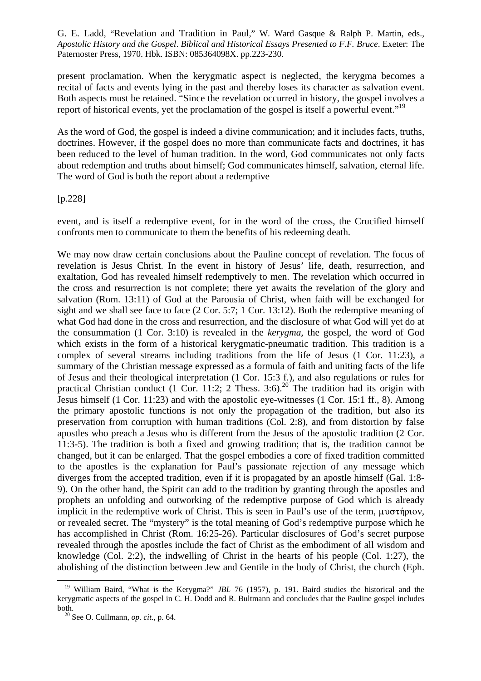present proclamation. When the kerygmatic aspect is neglected, the kerygma becomes a recital of facts and events lying in the past and thereby loses its character as salvation event. Both aspects must be retained. "Since the revelation occurred in history, the gospel involves a report of historical events, yet the proclamation of the gospel is itself a powerful event."<sup>19</sup>

As the word of God, the gospel is indeed a divine communication; and it includes facts, truths, doctrines. However, if the gospel does no more than communicate facts and doctrines, it has been reduced to the level of human tradition. In the word, God communicates not only facts about redemption and truths about himself; God communicates himself, salvation, eternal life. The word of God is both the report about a redemptive

### [p.228]

event, and is itself a redemptive event, for in the word of the cross, the Crucified himself confronts men to communicate to them the benefits of his redeeming death.

We may now draw certain conclusions about the Pauline concept of revelation. The focus of revelation is Jesus Christ. In the event in history of Jesus' life, death, resurrection, and exaltation, God has revealed himself redemptively to men. The revelation which occurred in the cross and resurrection is not complete; there yet awaits the revelation of the glory and salvation (Rom. 13:11) of God at the Parousia of Christ, when faith will be exchanged for sight and we shall see face to face (2 Cor. 5:7; 1 Cor. 13:12). Both the redemptive meaning of what God had done in the cross and resurrection, and the disclosure of what God will yet do at the consummation (1 Cor. 3:10) is revealed in the *kerygma,* the gospel, the word of God which exists in the form of a historical kerygmatic-pneumatic tradition. This tradition is a complex of several streams including traditions from the life of Jesus (1 Cor. 11:23), a summary of the Christian message expressed as a formula of faith and uniting facts of the life of Jesus and their theological interpretation (1 Cor. 15:3 f.), and also regulations or rules for practical Christian conduct  $(1 \text{ Cor. } 11:2; 2 \text{ Thess. } 3:6).^{20}$  The tradition had its origin with Jesus himself (1 Cor. 11:23) and with the apostolic eye-witnesses (1 Cor. 15:1 ff., 8). Among the primary apostolic functions is not only the propagation of the tradition, but also its preservation from corruption with human traditions (Col. 2:8), and from distortion by false apostles who preach a Jesus who is different from the Jesus of the apostolic tradition (2 Cor. 11:3-5). The tradition is both a fixed and growing tradition; that is, the tradition cannot be changed, but it can be enlarged. That the gospel embodies a core of fixed tradition committed to the apostles is the explanation for Paul's passionate rejection of any message which diverges from the accepted tradition, even if it is propagated by an apostle himself (Gal. 1:8- 9). On the other hand, the Spirit can add to the tradition by granting through the apostles and prophets an unfolding and outworking of the redemptive purpose of God which is already implicit in the redemptive work of Christ. This is seen in Paul's use of the term,  $\mu\nu\sigma\tau\eta\rho\iota o\nu$ , or revealed secret. The "mystery" is the total meaning of God's redemptive purpose which he has accomplished in Christ (Rom. 16:25-26). Particular disclosures of God's secret purpose revealed through the apostles include the fact of Christ as the embodiment of all wisdom and knowledge (Col. 2:2), the indwelling of Christ in the hearts of his people (Col. 1:27), the abolishing of the distinction between Jew and Gentile in the body of Christ, the church (Eph.

 <sup>19</sup> William Baird, "What is the Kerygma?" *JBL* 76 (1957), p. 191. Baird studies the historical and the kerygmatic aspects of the gospel in C. H. Dodd and R. Bultmann and concludes that the Pauline gospel includes both. 20 See O. Cullmann, *op. cit.,* p. 64.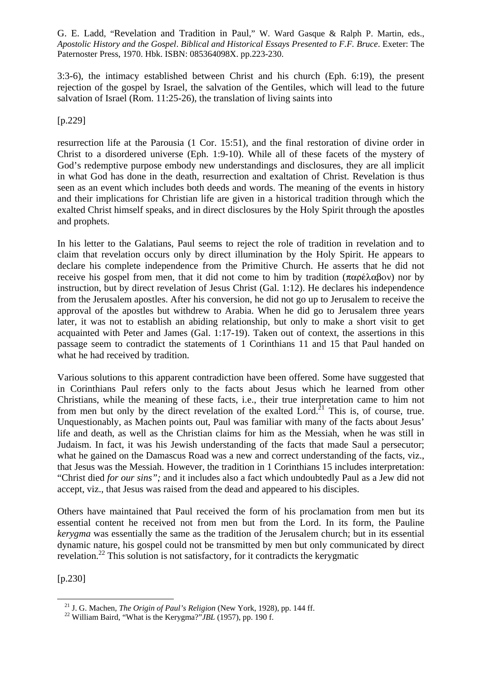3:3-6), the intimacy established between Christ and his church (Eph. 6:19), the present rejection of the gospel by Israel, the salvation of the Gentiles, which will lead to the future salvation of Israel (Rom. 11:25-26), the translation of living saints into

[p.229]

resurrection life at the Parousia (1 Cor. 15:51), and the final restoration of divine order in Christ to a disordered universe (Eph. 1:9-10). While all of these facets of the mystery of God's redemptive purpose embody new understandings and disclosures, they are all implicit in what God has done in the death, resurrection and exaltation of Christ. Revelation is thus seen as an event which includes both deeds and words. The meaning of the events in history and their implications for Christian life are given in a historical tradition through which the exalted Christ himself speaks, and in direct disclosures by the Holy Spirit through the apostles and prophets.

In his letter to the Galatians, Paul seems to reject the role of tradition in revelation and to claim that revelation occurs only by direct illumination by the Holy Spirit. He appears to declare his complete independence from the Primitive Church. He asserts that he did not receive his gospel from men, that it did not come to him by tradition ( $\pi \alpha \rho \epsilon \lambda \alpha \beta ov$ ) nor by instruction, but by direct revelation of Jesus Christ (Gal. 1:12). He declares his independence from the Jerusalem apostles. After his conversion, he did not go up to Jerusalem to receive the approval of the apostles but withdrew to Arabia. When he did go to Jerusalem three years later, it was not to establish an abiding relationship, but only to make a short visit to get acquainted with Peter and James (Gal. 1:17-19). Taken out of context, the assertions in this passage seem to contradict the statements of 1 Corinthians 11 and 15 that Paul handed on what he had received by tradition.

Various solutions to this apparent contradiction have been offered. Some have suggested that in Corinthians Paul refers only to the facts about Jesus which he learned from other Christians, while the meaning of these facts, i.e., their true interpretation came to him not from men but only by the direct revelation of the exalted Lord.<sup>21</sup> This is, of course, true. Unquestionably, as Machen points out, Paul was familiar with many of the facts about Jesus' life and death, as well as the Christian claims for him as the Messiah, when he was still in Judaism. In fact, it was his Jewish understanding of the facts that made Saul a persecutor; what he gained on the Damascus Road was a new and correct understanding of the facts, viz., that Jesus was the Messiah. However, the tradition in 1 Corinthians 15 includes interpretation: "Christ died *for our sins";* and it includes also a fact which undoubtedly Paul as a Jew did not accept, viz., that Jesus was raised from the dead and appeared to his disciples.

Others have maintained that Paul received the form of his proclamation from men but its essential content he received not from men but from the Lord. In its form, the Pauline *kerygma* was essentially the same as the tradition of the Jerusalem church; but in its essential dynamic nature, his gospel could not be transmitted by men but only communicated by direct revelation.22 This solution is not satisfactory, for it contradicts the kerygmatic

[p.230]

<sup>&</sup>lt;sup>21</sup> J. G. Machen, *The Origin of Paul's Religion* (New York, 1928), pp. 144 ff. <sup>22</sup> William Baird, "What is the Kerygma?"*JBL* (1957), pp. 190 f.